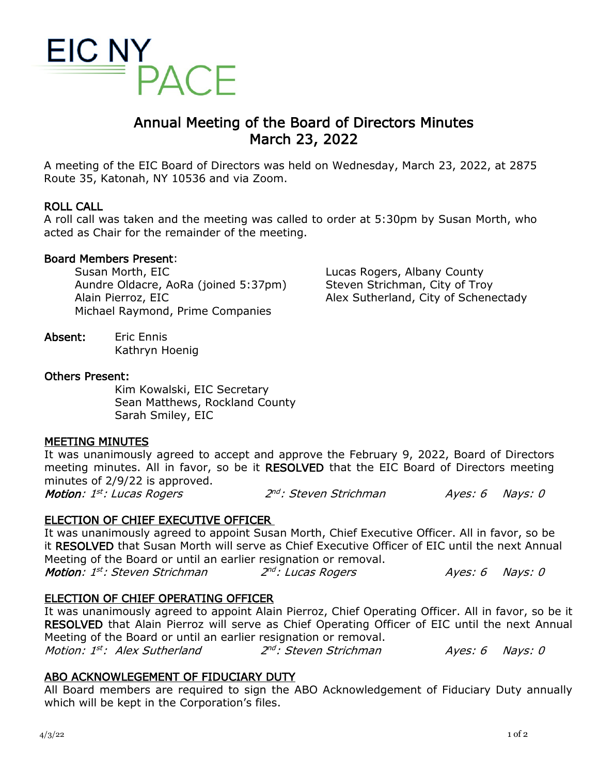

# Annual Meeting of the Board of Directors Minutes March 23, 2022

A meeting of the EIC Board of Directors was held on Wednesday, March 23, 2022, at 2875 Route 35, Katonah, NY 10536 and via Zoom.

## ROLL CALL

A roll call was taken and the meeting was called to order at 5:30pm by Susan Morth, who acted as Chair for the remainder of the meeting.

### Board Members Present:

Susan Morth, EIC Aundre Oldacre, AoRa (joined 5:37pm) Alain Pierroz, EIC Michael Raymond, Prime Companies

Absent: Eric Ennis Kathryn Hoenig

### Others Present:

Kim Kowalski, EIC Secretary Sean Matthews, Rockland County Sarah Smiley, EIC

### MEETING MINUTES

It was unanimously agreed to accept and approve the February 9, 2022, Board of Directors meeting minutes. All in favor, so be it RESOLVED that the EIC Board of Directors meeting minutes of 2/9/22 is approved. Motion: 1<sup>st</sup>: Lucas Rogers 2<sup>nd</sup>: Steven Strichman Ayes: 6 Nays: 0

# ELECTION OF CHIEF EXECUTIVE OFFICER

It was unanimously agreed to appoint Susan Morth, Chief Executive Officer. All in favor, so be it RESOLVED that Susan Morth will serve as Chief Executive Officer of EIC until the next Annual Meeting of the Board or until an earlier resignation or removal. Motion: 1<sup>st</sup>: Steven Strichman 2<sup>nd</sup>: Lucas Rogers Ayes: 6 Nays: 0

# ELECTION OF CHIEF OPERATING OFFICER

It was unanimously agreed to appoint Alain Pierroz, Chief Operating Officer. All in favor, so be it RESOLVED that Alain Pierroz will serve as Chief Operating Officer of EIC until the next Annual Meeting of the Board or until an earlier resignation or removal.<br>*Motion: 1<sup>st</sup>: Alex Sutherland* 2<sup>nd</sup>: Steven Strichman

Motion: 1<sup>st</sup>: Alex Sutherland 2<sup>nd</sup>: Steven Strichman Ayes: 6 Nays: 0

# ABO ACKNOWLEGEMENT OF FIDUCIARY DUTY

All Board members are required to sign the ABO Acknowledgement of Fiduciary Duty annually which will be kept in the Corporation's files.

Lucas Rogers, Albany County Steven Strichman, City of Troy Alex Sutherland, City of Schenectady